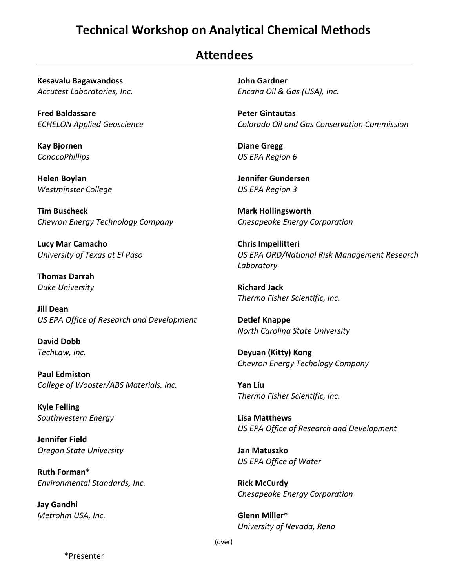## **Technical Workshop on Analytical Chemical Methods**

## **Attendees**

**Kesavalu Bagawandoss** *Accutest Laboratories, Inc.*

**Fred Baldassare** *ECHELON Applied Geoscience*

**Kay Bjornen** *ConocoPhillips*

**Helen Boylan** *Westminster College*

**Tim Buscheck** *Chevron Energy Technology Company*

**Lucy Mar Camacho** *University of Texas at El Paso*

**Thomas Darrah** *Duke University*

**Jill Dean** *US EPA Office of Research and Development*

**David Dobb** *TechLaw, Inc.*

**Paul Edmiston** *College of Wooster/ABS Materials, Inc.*

**Kyle Felling** *Southwestern Energy*

**Jennifer Field** *Oregon State University*

**Ruth Forman**\* *Environmental Standards, Inc.*

**Jay Gandhi** *Metrohm USA, Inc.* **John Gardner** *Encana Oil & Gas (USA), Inc.*

**Peter Gintautas** *Colorado Oil and Gas Conservation Commission*

**Diane Gregg** *US EPA Region 6*

**Jennifer Gundersen** *US EPA Region 3*

**Mark Hollingsworth** *Chesapeake Energy Corporation*

**Chris Impellitteri** *US EPA ORD/National Risk Management Research Laboratory*

**Richard Jack** *Thermo Fisher Scientific, Inc.*

**Detlef Knappe** *North Carolina State University*

**Deyuan (Kitty) Kong** *Chevron Energy Techology Company*

**Yan Liu** *Thermo Fisher Scientific, Inc.*

**Lisa Matthews** *US EPA Office of Research and Development*

**Jan Matuszko** *US EPA Office of Water*

**Rick McCurdy** *Chesapeake Energy Corporation*

**Glenn Miller**\* *University of Nevada, Reno*

(over)

\*Presenter